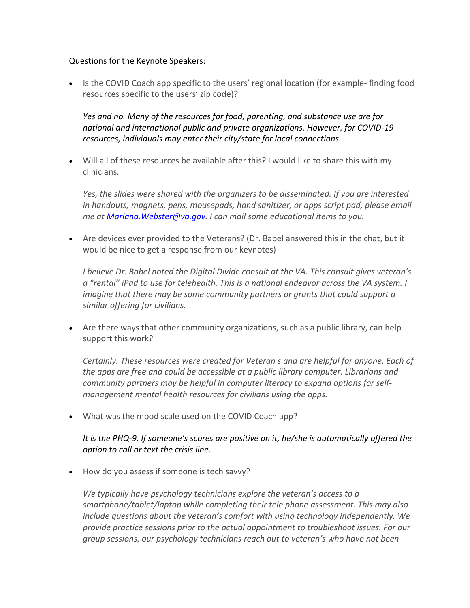## Questions for the Keynote Speakers:

• Is the COVID Coach app specific to the users' regional location (for example-finding food resources specific to the users' zip code)?

*Yes and no. Many of the resources for food, parenting, and substance use are for national and international public and private organizations. However, for COVID-19 resources, individuals may enter their city/state for local connections.* 

• Will all of these resources be available after this? I would like to share this with my clinicians.

*Yes, the slides were shared with the organizers to be disseminated. If you are interested in handouts, magnets, pens, mousepads, hand sanitizer, or apps script pad, please email me at [Marlana.Webster@va.gov.](mailto:Marlana.Webster@va.gov) I can mail some educational items to you.*

• Are devices ever provided to the Veterans? (Dr. Babel answered this in the chat, but it would be nice to get a response from our keynotes)

*I believe Dr. Babel noted the Digital Divide consult at the VA. This consult gives veteran's a "rental" iPad to use for telehealth. This is a national endeavor across the VA system. I imagine that there may be some community partners or grants that could support a similar offering for civilians.*

• Are there ways that other community organizations, such as a public library, can help support this work?

*Certainly. These resources were created for Veteran s and are helpful for anyone. Each of the apps are free and could be accessible at a public library computer. Librarians and community partners may be helpful in computer literacy to expand options for selfmanagement mental health resources for civilians using the apps.* 

• What was the mood scale used on the COVID Coach app?

## *It is the PHQ-9. If someone's scores are positive on it, he/she is automatically offered the option to call or text the crisis line.*

• How do you assess if someone is tech savvy?

*We typically have psychology technicians explore the veteran's access to a smartphone/tablet/laptop while completing their tele phone assessment. This may also include questions about the veteran's comfort with using technology independently. We provide practice sessions prior to the actual appointment to troubleshoot issues. For our group sessions, our psychology technicians reach out to veteran's who have not been*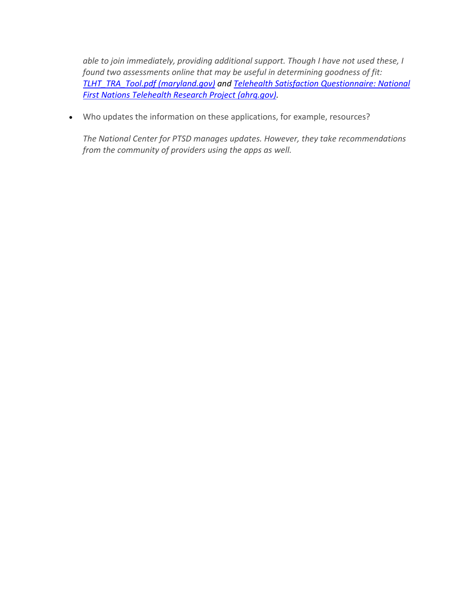*able to join immediately, providing additional support. Though I have not used these, I found two assessments online that may be useful in determining goodness of fit: [TLHT\\_TRA\\_Tool.pdf \(maryland.gov\)](https://urldefense.com/v3/__https:/mhcc.maryland.gov/mhcc/pages/hit/hit_telemedicine/documents/TLHT_TRA_Tool.pdf__;!!Aeua5Q!AVjw6baVkVW4ooTHbi4qnY8IPa-sOKr5Wmc9T0mawm6PQ7qkXfml2R4PWGqVJkKi$) and [Telehealth Satisfaction Questionnaire: National](https://urldefense.com/v3/__https:/digital.ahrq.gov/sites/default/files/docs/survey/telehealthsatisfactionquestionnaire_comp.pdf__;!!Aeua5Q!AVjw6baVkVW4ooTHbi4qnY8IPa-sOKr5Wmc9T0mawm6PQ7qkXfml2R4PWLC3IJqn$)  [First Nations Telehealth Research Project \(ahrq.gov\).](https://urldefense.com/v3/__https:/digital.ahrq.gov/sites/default/files/docs/survey/telehealthsatisfactionquestionnaire_comp.pdf__;!!Aeua5Q!AVjw6baVkVW4ooTHbi4qnY8IPa-sOKr5Wmc9T0mawm6PQ7qkXfml2R4PWLC3IJqn$)*

• Who updates the information on these applications, for example, resources?

*The National Center for PTSD manages updates. However, they take recommendations from the community of providers using the apps as well.*